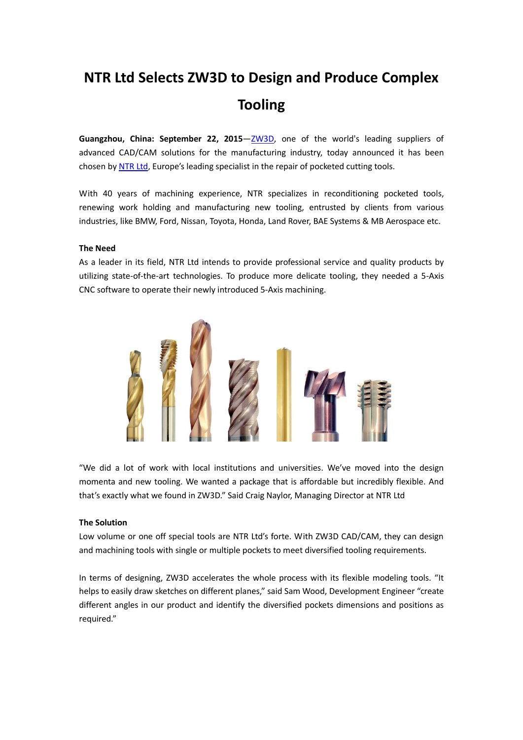# **NTR Ltd Selects ZW3D to Design and Produce Complex Tooling**

Guangzhou, China: September 22, 2015-[ZW3D,](http://9nl.it/ZW3D1507) one of the world's leading suppliers of advanced CAD/CAM solutions for the manufacturing industry, today announced it has been chosen b[y NTR Ltd,](http://www.ntrltd.co.uk/) Europe's leading specialist in the repair of pocketed cutting tools.

With 40 years of machining experience, NTR specializes in reconditioning pocketed tools, renewing work holding and manufacturing new tooling, entrusted by clients from various industries, like BMW, Ford, Nissan, Toyota, Honda, Land Rover, BAE Systems & MB Aerospace etc.

## **The Need**

As a leader in its field, NTR Ltd intends to provide professional service and quality products by utilizing state-of-the-art technologies. To produce more delicate tooling, they needed a 5-Axis CNC software to operate their newly introduced 5-Axis machining.



"We did a lot of work with local institutions and universities. We've moved into the design momenta and new tooling. We wanted a package that is affordable but incredibly flexible. And that's exactly what we found in ZW3D." Said Craig Naylor, Managing Director at NTR Ltd

### **The Solution**

Low volume or one off special tools are NTR Ltd's forte. With ZW3D CAD/CAM, they can design and machining tools with single or multiple pockets to meet diversified tooling requirements.

In terms of designing, ZW3D accelerates the whole process with its flexible modeling tools. "It helps to easily draw sketches on different planes," said Sam Wood, Development Engineer "create different angles in our product and identify the diversified pockets dimensions and positions as required."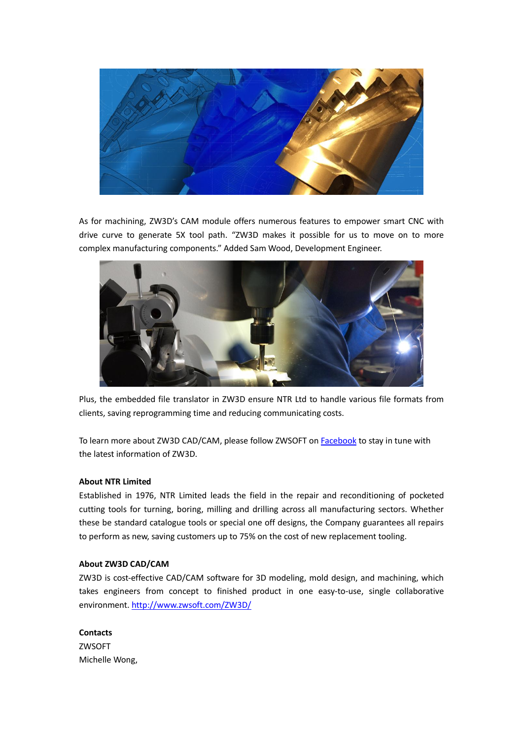

As for machining, ZW3D's CAM module offers numerous features to empower smart CNC with drive curve to generate 5X tool path. "ZW3D makes it possible for us to move on to more complex manufacturing components." Added Sam Wood, Development Engineer.



Plus, the embedded file translator in ZW3D ensure NTR Ltd to handle various file formats from clients, saving reprogramming time and reducing communicating costs.

To learn more about ZW3D CAD/CAM, please follow ZWSOFT on [Facebook](http://9nl.it/FB1507) to stay in tune with the latest information of ZW3D.

#### **About NTR Limited**

Established in 1976, NTR Limited leads the field in the repair and reconditioning of pocketed cutting tools for turning, boring, milling and drilling across all manufacturing sectors. Whether these be standard catalogue tools or special one off designs, the Company guarantees all repairs to perform as new, saving customers up to 75% on the cost of new replacement tooling.

## **About ZW3D CAD/CAM**

ZW3D is cost-effective CAD/CAM software for 3D modeling, mold design, and machining, which takes engineers from concept to finished product in one easy-to-use, single collaborative environment.<http://www.zwsoft.com/ZW3D/>

**Contacts** ZWSOFT Michelle Wong,